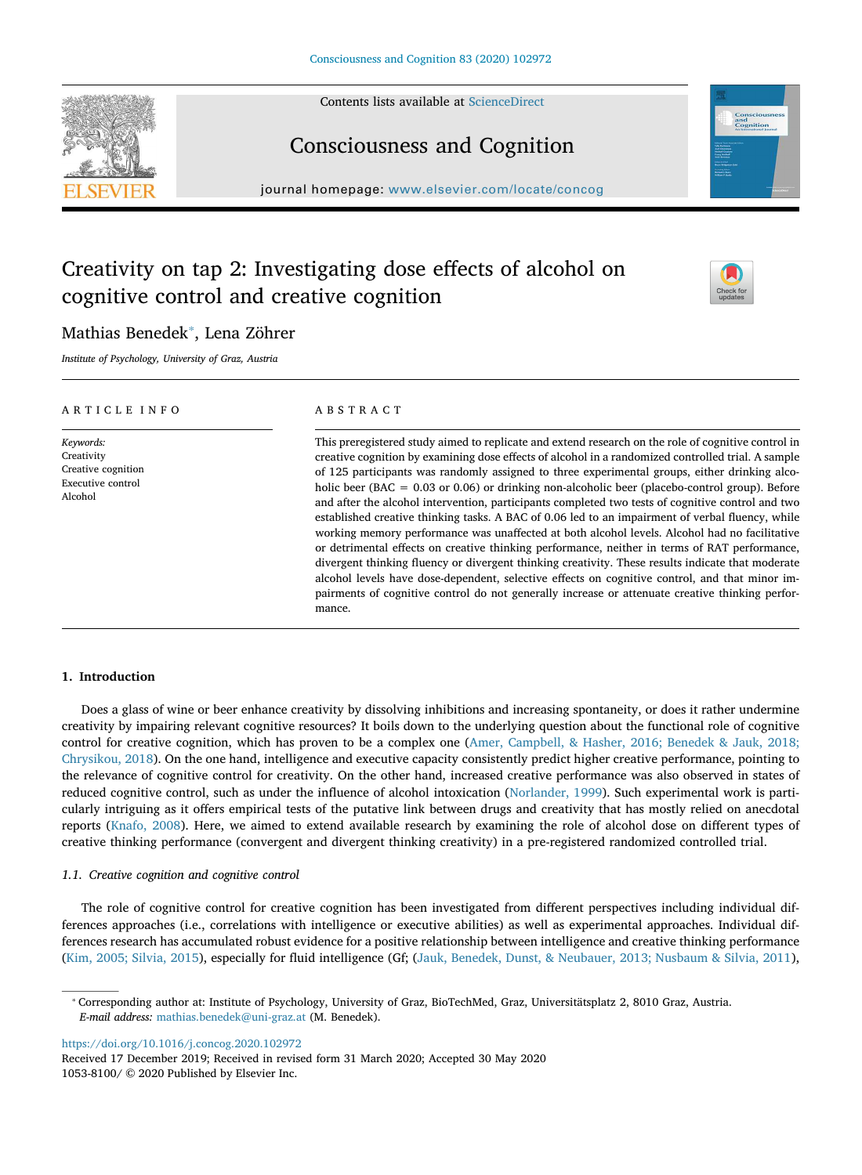Contents lists available at ScienceDirect





journal homepage: www.elsevier.com/locate/concog

# Creativity on tap 2: Investigating dose effects of alcohol on cognitive control and creative cognition



## Mathias Benedek<sup>\*</sup>, Lena Zöhrer

Institute of Psychology, University of Graz, Austria

| ARTICLE INFO                                                                  | ABSTRACT                                                                                                                                                                                                                                                                                                                                                                                                                                                                                                                                                                                                                                                                                                                                                                                                                                                                                                                                                                                                                                                                                                                                         |  |  |  |  |  |
|-------------------------------------------------------------------------------|--------------------------------------------------------------------------------------------------------------------------------------------------------------------------------------------------------------------------------------------------------------------------------------------------------------------------------------------------------------------------------------------------------------------------------------------------------------------------------------------------------------------------------------------------------------------------------------------------------------------------------------------------------------------------------------------------------------------------------------------------------------------------------------------------------------------------------------------------------------------------------------------------------------------------------------------------------------------------------------------------------------------------------------------------------------------------------------------------------------------------------------------------|--|--|--|--|--|
| Keywords:<br>Creativity<br>Creative cognition<br>Executive control<br>Alcohol | This preregistered study aimed to replicate and extend research on the role of cognitive control in<br>creative cognition by examining dose effects of alcohol in a randomized controlled trial. A sample<br>of 125 participants was randomly assigned to three experimental groups, either drinking alco-<br>holic beer (BAC = $0.03$ or $0.06$ ) or drinking non-alcoholic beer (placebo-control group). Before<br>and after the alcohol intervention, participants completed two tests of cognitive control and two<br>established creative thinking tasks. A BAC of 0.06 led to an impairment of verbal fluency, while<br>working memory performance was unaffected at both alcohol levels. Alcohol had no facilitative<br>or detrimental effects on creative thinking performance, neither in terms of RAT performance,<br>divergent thinking fluency or divergent thinking creativity. These results indicate that moderate<br>alcohol levels have dose-dependent, selective effects on cognitive control, and that minor im-<br>pairments of cognitive control do not generally increase or attenuate creative thinking perfor-<br>mance. |  |  |  |  |  |

## 1. Introduction

Does a glass of wine or beer enhance creativity by dissolving inhibitions and increasing spontaneity, or does it rather undermine creativity by impairing relevant cognitive resources? It boils down to the underlying question about the functional role of cognitive control for creative cognition, which has proven to be a complex one (Amer, Campbell, & Hasher, 2016; Benedek & Jauk, 2018; Chrysikou, 2018). On the one hand, intelligence and executive capacity consistently predict higher creative performance, pointing to the relevance of cognitive control for creativity. On the other hand, increased creative performance was also observed in states of reduced cognitive control, such as under the influence of alcohol intoxication (Norlander, 1999). Such experimental work is particularly intriguing as it offers empirical tests of the putative link between drugs and creativity that has mostly relied on anecdotal reports (Knafo, 2008). Here, we aimed to extend available research by examining the role of alcohol dose on different types of creative thinking performance (convergent and divergent thinking creativity) in a pre-registered randomized controlled trial.

## 1.1. Creative cognition and cognitive control

The role of cognitive control for creative cognition has been investigated from different perspectives including individual differences approaches (i.e., correlations with intelligence or executive abilities) as well as experimental approaches. Individual differences research has accumulated robust evidence for a positive relationship between intelligence and creative thinking performance (Kim, 2005; Silvia, 2015), especially for fluid intelligence (Gf; (Jauk, Benedek, Dunst, & Neubauer, 2013; Nusbaum & Silvia, 2011),

https://doi.org/10.1016/j.concog.2020.102972

Received 17 December 2019; Received in revised form 31 March 2020; Accepted 30 May 2020 1053-8100/ © 2020 Published by Elsevier Inc.

<sup>⁎</sup> Corresponding author at: Institute of Psychology, University of Graz, BioTechMed, Graz, Universitätsplatz 2, 8010 Graz, Austria. E-mail address: mathias.benedek@uni-graz.at (M. Benedek).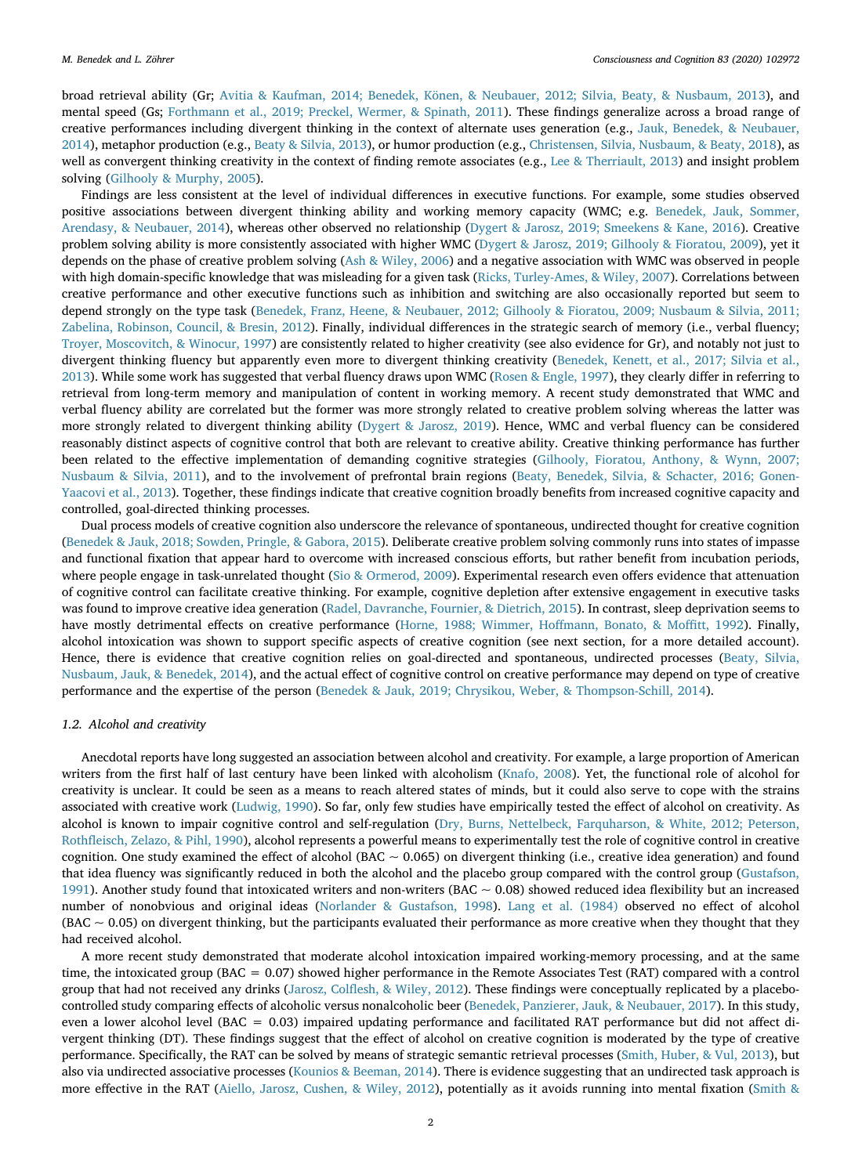broad retrieval ability (Gr; Avitia & Kaufman, 2014; Benedek, Könen, & Neubauer, 2012; Silvia, Beaty, & Nusbaum, 2013), and mental speed (Gs; Forthmann et al., 2019; Preckel, Wermer, & Spinath, 2011). These findings generalize across a broad range of creative performances including divergent thinking in the context of alternate uses generation (e.g., Jauk, Benedek, & Neubauer, 2014), metaphor production (e.g., Beaty & Silvia, 2013), or humor production (e.g., Christensen, Silvia, Nusbaum, & Beaty, 2018), as well as convergent thinking creativity in the context of finding remote associates (e.g., Lee & Therriault, 2013) and insight problem solving (Gilhooly & Murphy, 2005).

Findings are less consistent at the level of individual differences in executive functions. For example, some studies observed positive associations between divergent thinking ability and working memory capacity (WMC; e.g. Benedek, Jauk, Sommer, Arendasy, & Neubauer, 2014), whereas other observed no relationship (Dygert & Jarosz, 2019; Smeekens & Kane, 2016). Creative problem solving ability is more consistently associated with higher WMC (Dygert & Jarosz, 2019; Gilhooly & Fioratou, 2009), yet it depends on the phase of creative problem solving (Ash & Wiley, 2006) and a negative association with WMC was observed in people with high domain-specific knowledge that was misleading for a given task (Ricks, Turley-Ames, & Wiley, 2007). Correlations between creative performance and other executive functions such as inhibition and switching are also occasionally reported but seem to depend strongly on the type task (Benedek, Franz, Heene, & Neubauer, 2012; Gilhooly & Fioratou, 2009; Nusbaum & Silvia, 2011; Zabelina, Robinson, Council, & Bresin, 2012). Finally, individual differences in the strategic search of memory (i.e., verbal fluency; Troyer, Moscovitch, & Winocur, 1997) are consistently related to higher creativity (see also evidence for Gr), and notably not just to divergent thinking fluency but apparently even more to divergent thinking creativity (Benedek, Kenett, et al., 2017; Silvia et al., 2013). While some work has suggested that verbal fluency draws upon WMC (Rosen & Engle, 1997), they clearly differ in referring to retrieval from long-term memory and manipulation of content in working memory. A recent study demonstrated that WMC and verbal fluency ability are correlated but the former was more strongly related to creative problem solving whereas the latter was more strongly related to divergent thinking ability (Dygert & Jarosz, 2019). Hence, WMC and verbal fluency can be considered reasonably distinct aspects of cognitive control that both are relevant to creative ability. Creative thinking performance has further been related to the effective implementation of demanding cognitive strategies (Gilhooly, Fioratou, Anthony, & Wynn, 2007; Nusbaum & Silvia, 2011), and to the involvement of prefrontal brain regions (Beaty, Benedek, Silvia, & Schacter, 2016; Gonen-Yaacovi et al., 2013). Together, these findings indicate that creative cognition broadly benefits from increased cognitive capacity and controlled, goal-directed thinking processes.

Dual process models of creative cognition also underscore the relevance of spontaneous, undirected thought for creative cognition (Benedek & Jauk, 2018; Sowden, Pringle, & Gabora, 2015). Deliberate creative problem solving commonly runs into states of impasse and functional fixation that appear hard to overcome with increased conscious efforts, but rather benefit from incubation periods, where people engage in task-unrelated thought (Sio & Ormerod, 2009). Experimental research even offers evidence that attenuation of cognitive control can facilitate creative thinking. For example, cognitive depletion after extensive engagement in executive tasks was found to improve creative idea generation (Radel, Davranche, Fournier, & Dietrich, 2015). In contrast, sleep deprivation seems to have mostly detrimental effects on creative performance (Horne, 1988; Wimmer, Hoffmann, Bonato, & Moffitt, 1992). Finally, alcohol intoxication was shown to support specific aspects of creative cognition (see next section, for a more detailed account). Hence, there is evidence that creative cognition relies on goal-directed and spontaneous, undirected processes (Beaty, Silvia, Nusbaum, Jauk, & Benedek, 2014), and the actual effect of cognitive control on creative performance may depend on type of creative performance and the expertise of the person (Benedek & Jauk, 2019; Chrysikou, Weber, & Thompson-Schill, 2014).

## 1.2. Alcohol and creativity

Anecdotal reports have long suggested an association between alcohol and creativity. For example, a large proportion of American writers from the first half of last century have been linked with alcoholism (Knafo, 2008). Yet, the functional role of alcohol for creativity is unclear. It could be seen as a means to reach altered states of minds, but it could also serve to cope with the strains associated with creative work (Ludwig, 1990). So far, only few studies have empirically tested the effect of alcohol on creativity. As alcohol is known to impair cognitive control and self-regulation (Dry, Burns, Nettelbeck, Farquharson, & White, 2012; Peterson, Rothfleisch, Zelazo, & Pihl, 1990), alcohol represents a powerful means to experimentally test the role of cognitive control in creative cognition. One study examined the effect of alcohol (BAC  $\sim$  0.065) on divergent thinking (i.e., creative idea generation) and found that idea fluency was significantly reduced in both the alcohol and the placebo group compared with the control group (Gustafson, 1991). Another study found that intoxicated writers and non-writers (BAC  $\sim$  0.08) showed reduced idea flexibility but an increased number of nonobvious and original ideas (Norlander & Gustafson, 1998). Lang et al. (1984) observed no effect of alcohol  $(BAC \sim 0.05)$  on divergent thinking, but the participants evaluated their performance as more creative when they thought that they had received alcohol.

A more recent study demonstrated that moderate alcohol intoxication impaired working-memory processing, and at the same time, the intoxicated group (BAC = 0.07) showed higher performance in the Remote Associates Test (RAT) compared with a control group that had not received any drinks (Jarosz, Colflesh, & Wiley, 2012). These findings were conceptually replicated by a placebocontrolled study comparing effects of alcoholic versus nonalcoholic beer (Benedek, Panzierer, Jauk, & Neubauer, 2017). In this study, even a lower alcohol level (BAC = 0.03) impaired updating performance and facilitated RAT performance but did not affect divergent thinking (DT). These findings suggest that the effect of alcohol on creative cognition is moderated by the type of creative performance. Specifically, the RAT can be solved by means of strategic semantic retrieval processes (Smith, Huber, & Vul, 2013), but also via undirected associative processes (Kounios & Beeman, 2014). There is evidence suggesting that an undirected task approach is more effective in the RAT (Aiello, Jarosz, Cushen, & Wiley, 2012), potentially as it avoids running into mental fixation (Smith &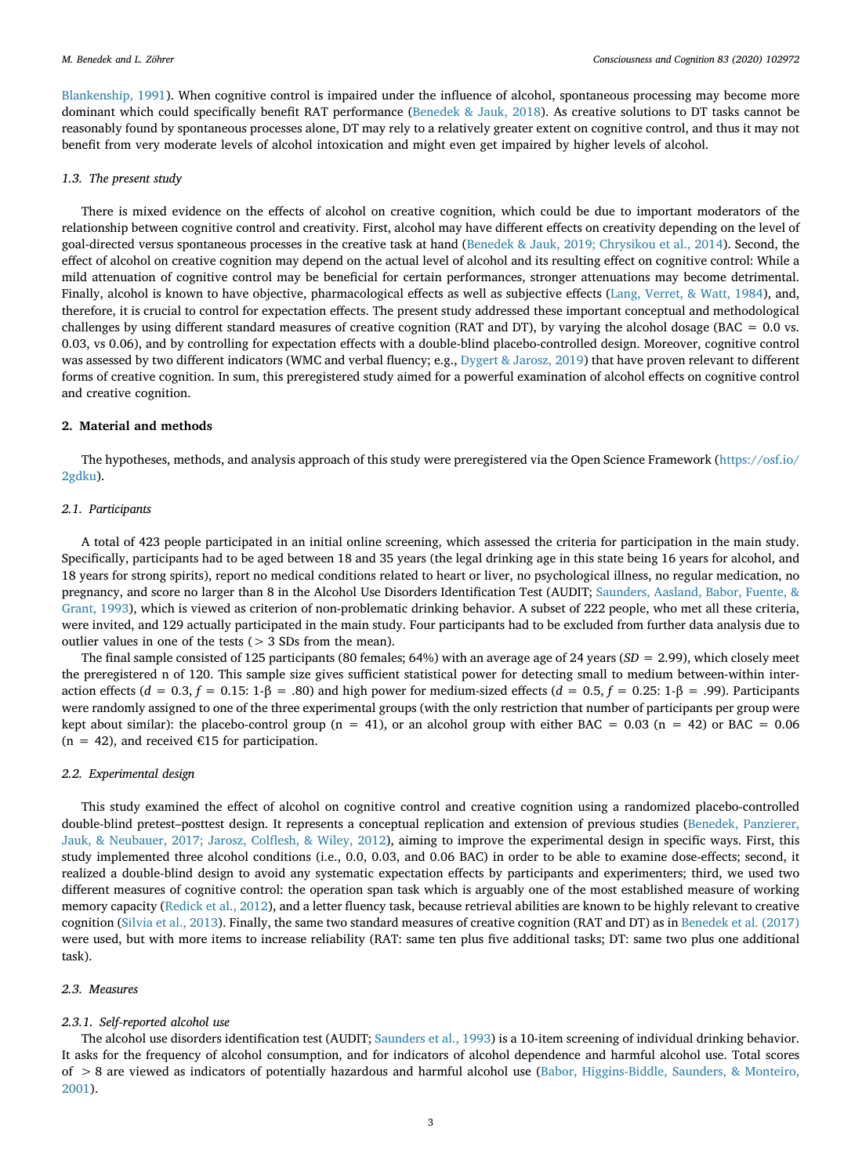Blankenship, 1991). When cognitive control is impaired under the influence of alcohol, spontaneous processing may become more dominant which could specifically benefit RAT performance (Benedek & Jauk, 2018). As creative solutions to DT tasks cannot be reasonably found by spontaneous processes alone, DT may rely to a relatively greater extent on cognitive control, and thus it may not benefit from very moderate levels of alcohol intoxication and might even get impaired by higher levels of alcohol.

## 1.3. The present study

There is mixed evidence on the effects of alcohol on creative cognition, which could be due to important moderators of the relationship between cognitive control and creativity. First, alcohol may have different effects on creativity depending on the level of goal-directed versus spontaneous processes in the creative task at hand (Benedek & Jauk, 2019; Chrysikou et al., 2014). Second, the effect of alcohol on creative cognition may depend on the actual level of alcohol and its resulting effect on cognitive control: While a mild attenuation of cognitive control may be beneficial for certain performances, stronger attenuations may become detrimental. Finally, alcohol is known to have objective, pharmacological effects as well as subjective effects (Lang, Verret, & Watt, 1984), and, therefore, it is crucial to control for expectation effects. The present study addressed these important conceptual and methodological challenges by using different standard measures of creative cognition (RAT and DT), by varying the alcohol dosage (BAC = 0.0 vs. 0.03, vs 0.06), and by controlling for expectation effects with a double-blind placebo-controlled design. Moreover, cognitive control was assessed by two different indicators (WMC and verbal fluency; e.g., Dygert & Jarosz, 2019) that have proven relevant to different forms of creative cognition. In sum, this preregistered study aimed for a powerful examination of alcohol effects on cognitive control and creative cognition.

## 2. Material and methods

The hypotheses, methods, and analysis approach of this study were preregistered via the Open Science Framework (https://osf.io/ 2gdku).

## 2.1. Participants

A total of 423 people participated in an initial online screening, which assessed the criteria for participation in the main study. Specifically, participants had to be aged between 18 and 35 years (the legal drinking age in this state being 16 years for alcohol, and 18 years for strong spirits), report no medical conditions related to heart or liver, no psychological illness, no regular medication, no pregnancy, and score no larger than 8 in the Alcohol Use Disorders Identification Test (AUDIT; Saunders, Aasland, Babor, Fuente, & Grant, 1993), which is viewed as criterion of non-problematic drinking behavior. A subset of 222 people, who met all these criteria, were invited, and 129 actually participated in the main study. Four participants had to be excluded from further data analysis due to outlier values in one of the tests (> 3 SDs from the mean).

The final sample consisted of 125 participants (80 females; 64%) with an average age of 24 years ( $SD = 2.99$ ), which closely meet the preregistered n of 120. This sample size gives sufficient statistical power for detecting small to medium between-within interaction effects ( $d = 0.3$ ,  $f = 0.15$ : 1-β = .80) and high power for medium-sized effects ( $d = 0.5$ ,  $f = 0.25$ : 1-β = .99). Participants were randomly assigned to one of the three experimental groups (with the only restriction that number of participants per group were kept about similar): the placebo-control group ( $n = 41$ ), or an alcohol group with either BAC = 0.03 ( $n = 42$ ) or BAC = 0.06  $(n = 42)$ , and received €15 for participation.

## 2.2. Experimental design

This study examined the effect of alcohol on cognitive control and creative cognition using a randomized placebo-controlled double-blind pretest–posttest design. It represents a conceptual replication and extension of previous studies (Benedek, Panzierer, Jauk, & Neubauer, 2017; Jarosz, Colflesh, & Wiley, 2012), aiming to improve the experimental design in specific ways. First, this study implemented three alcohol conditions (i.e., 0.0, 0.03, and 0.06 BAC) in order to be able to examine dose-effects; second, it realized a double-blind design to avoid any systematic expectation effects by participants and experimenters; third, we used two different measures of cognitive control: the operation span task which is arguably one of the most established measure of working memory capacity (Redick et al., 2012), and a letter fluency task, because retrieval abilities are known to be highly relevant to creative cognition (Silvia et al., 2013). Finally, the same two standard measures of creative cognition (RAT and DT) as in Benedek et al. (2017) were used, but with more items to increase reliability (RAT: same ten plus five additional tasks; DT: same two plus one additional task).

## 2.3. Measures

## 2.3.1. Self-reported alcohol use

The alcohol use disorders identification test (AUDIT; Saunders et al., 1993) is a 10-item screening of individual drinking behavior. It asks for the frequency of alcohol consumption, and for indicators of alcohol dependence and harmful alcohol use. Total scores of > 8 are viewed as indicators of potentially hazardous and harmful alcohol use (Babor, Higgins-Biddle, Saunders, & Monteiro, 2001).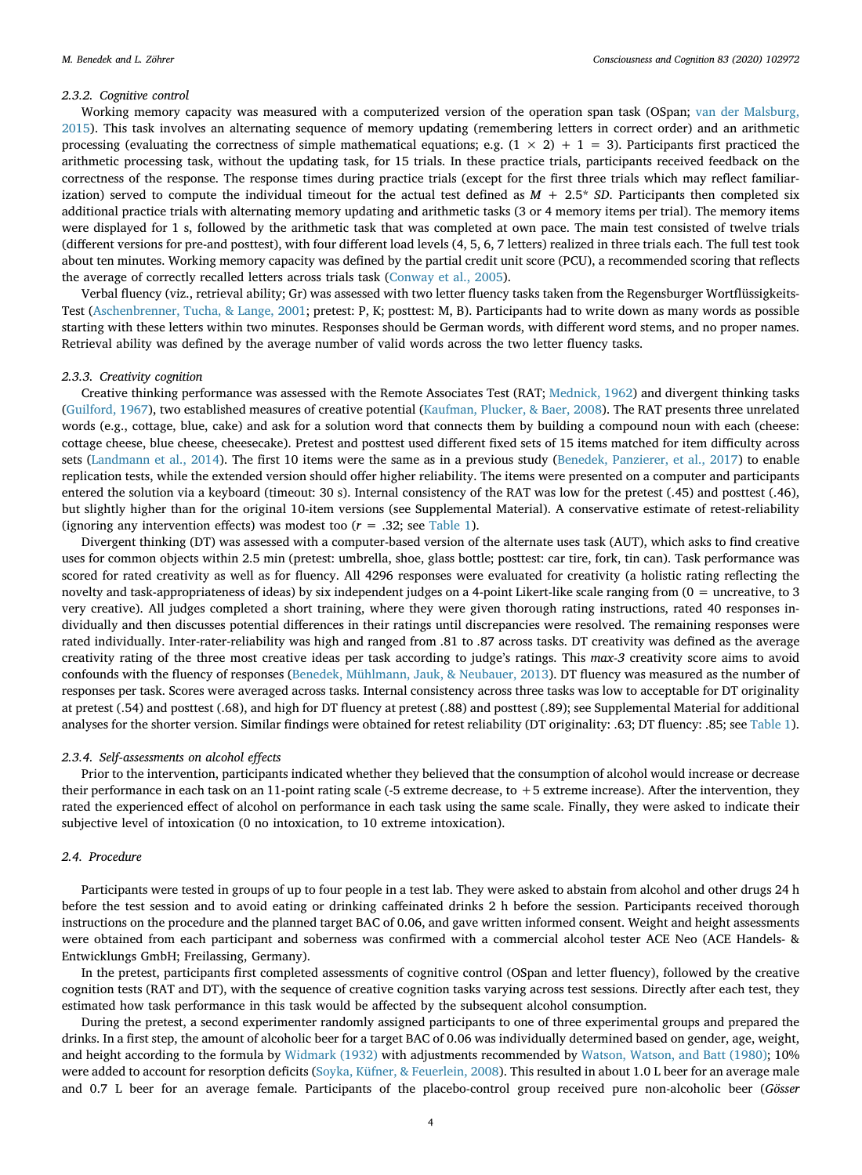## 2.3.2. Cognitive control

Working memory capacity was measured with a computerized version of the operation span task (OSpan; van der Malsburg, 2015). This task involves an alternating sequence of memory updating (remembering letters in correct order) and an arithmetic processing (evaluating the correctness of simple mathematical equations; e.g.  $(1 \times 2) + 1 = 3$ ). Participants first practiced the arithmetic processing task, without the updating task, for 15 trials. In these practice trials, participants received feedback on the correctness of the response. The response times during practice trials (except for the first three trials which may reflect familiarization) served to compute the individual timeout for the actual test defined as  $M + 2.5* SD$ . Participants then completed six additional practice trials with alternating memory updating and arithmetic tasks (3 or 4 memory items per trial). The memory items were displayed for 1 s, followed by the arithmetic task that was completed at own pace. The main test consisted of twelve trials (different versions for pre-and posttest), with four different load levels (4, 5, 6, 7 letters) realized in three trials each. The full test took about ten minutes. Working memory capacity was defined by the partial credit unit score (PCU), a recommended scoring that reflects the average of correctly recalled letters across trials task (Conway et al., 2005).

Verbal fluency (viz., retrieval ability; Gr) was assessed with two letter fluency tasks taken from the Regensburger Wortflüssigkeits-Test (Aschenbrenner, Tucha, & Lange, 2001; pretest: P, K; posttest: M, B). Participants had to write down as many words as possible starting with these letters within two minutes. Responses should be German words, with different word stems, and no proper names. Retrieval ability was defined by the average number of valid words across the two letter fluency tasks.

## 2.3.3. Creativity cognition

Creative thinking performance was assessed with the Remote Associates Test (RAT; Mednick, 1962) and divergent thinking tasks (Guilford, 1967), two established measures of creative potential (Kaufman, Plucker, & Baer, 2008). The RAT presents three unrelated words (e.g., cottage, blue, cake) and ask for a solution word that connects them by building a compound noun with each (cheese: cottage cheese, blue cheese, cheesecake). Pretest and posttest used different fixed sets of 15 items matched for item difficulty across sets (Landmann et al., 2014). The first 10 items were the same as in a previous study (Benedek, Panzierer, et al., 2017) to enable replication tests, while the extended version should offer higher reliability. The items were presented on a computer and participants entered the solution via a keyboard (timeout: 30 s). Internal consistency of the RAT was low for the pretest (.45) and posttest (.46), but slightly higher than for the original 10-item versions (see Supplemental Material). A conservative estimate of retest-reliability (ignoring any intervention effects) was modest too  $(r = .32;$  see Table 1).

Divergent thinking (DT) was assessed with a computer-based version of the alternate uses task (AUT), which asks to find creative uses for common objects within 2.5 min (pretest: umbrella, shoe, glass bottle; posttest: car tire, fork, tin can). Task performance was scored for rated creativity as well as for fluency. All 4296 responses were evaluated for creativity (a holistic rating reflecting the novelty and task-appropriateness of ideas) by six independent judges on a 4-point Likert-like scale ranging from (0 = uncreative, to 3 very creative). All judges completed a short training, where they were given thorough rating instructions, rated 40 responses individually and then discusses potential differences in their ratings until discrepancies were resolved. The remaining responses were rated individually. Inter-rater-reliability was high and ranged from .81 to .87 across tasks. DT creativity was defined as the average creativity rating of the three most creative ideas per task according to judge's ratings. This max-3 creativity score aims to avoid confounds with the fluency of responses (Benedek, Mühlmann, Jauk, & Neubauer, 2013). DT fluency was measured as the number of responses per task. Scores were averaged across tasks. Internal consistency across three tasks was low to acceptable for DT originality at pretest (.54) and posttest (.68), and high for DT fluency at pretest (.88) and posttest (.89); see Supplemental Material for additional analyses for the shorter version. Similar findings were obtained for retest reliability (DT originality: .63; DT fluency: .85; see Table 1).

## 2.3.4. Self-assessments on alcohol effects

Prior to the intervention, participants indicated whether they believed that the consumption of alcohol would increase or decrease their performance in each task on an 11-point rating scale (-5 extreme decrease, to +5 extreme increase). After the intervention, they rated the experienced effect of alcohol on performance in each task using the same scale. Finally, they were asked to indicate their subjective level of intoxication (0 no intoxication, to 10 extreme intoxication).

## 2.4. Procedure

Participants were tested in groups of up to four people in a test lab. They were asked to abstain from alcohol and other drugs 24 h before the test session and to avoid eating or drinking caffeinated drinks 2 h before the session. Participants received thorough instructions on the procedure and the planned target BAC of 0.06, and gave written informed consent. Weight and height assessments were obtained from each participant and soberness was confirmed with a commercial alcohol tester ACE Neo (ACE Handels- & Entwicklungs GmbH; Freilassing, Germany).

In the pretest, participants first completed assessments of cognitive control (OSpan and letter fluency), followed by the creative cognition tests (RAT and DT), with the sequence of creative cognition tasks varying across test sessions. Directly after each test, they estimated how task performance in this task would be affected by the subsequent alcohol consumption.

During the pretest, a second experimenter randomly assigned participants to one of three experimental groups and prepared the drinks. In a first step, the amount of alcoholic beer for a target BAC of 0.06 was individually determined based on gender, age, weight, and height according to the formula by Widmark (1932) with adjustments recommended by Watson, Watson, and Batt (1980); 10% were added to account for resorption deficits (Soyka, Küfner, & Feuerlein, 2008). This resulted in about 1.0 L beer for an average male and 0.7 L beer for an average female. Participants of the placebo-control group received pure non-alcoholic beer (Gösser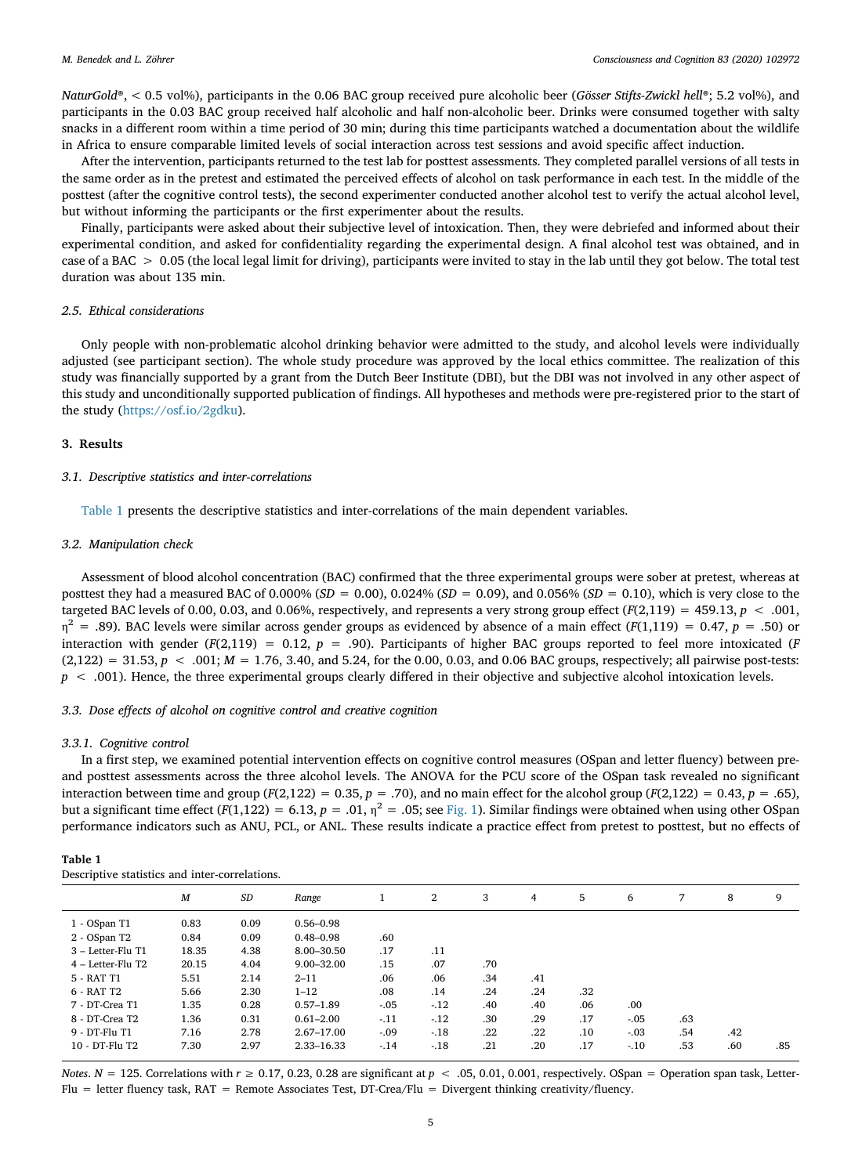NaturGold®, < 0.5 vol%), participants in the 0.06 BAC group received pure alcoholic beer (Gösser Stifts-Zwickl hell®; 5.2 vol%), and participants in the 0.03 BAC group received half alcoholic and half non-alcoholic beer. Drinks were consumed together with salty snacks in a different room within a time period of 30 min; during this time participants watched a documentation about the wildlife in Africa to ensure comparable limited levels of social interaction across test sessions and avoid specific affect induction.

After the intervention, participants returned to the test lab for posttest assessments. They completed parallel versions of all tests in the same order as in the pretest and estimated the perceived effects of alcohol on task performance in each test. In the middle of the posttest (after the cognitive control tests), the second experimenter conducted another alcohol test to verify the actual alcohol level, but without informing the participants or the first experimenter about the results.

Finally, participants were asked about their subjective level of intoxication. Then, they were debriefed and informed about their experimental condition, and asked for confidentiality regarding the experimental design. A final alcohol test was obtained, and in case of a BAC > 0.05 (the local legal limit for driving), participants were invited to stay in the lab until they got below. The total test duration was about 135 min.

## 2.5. Ethical considerations

Only people with non-problematic alcohol drinking behavior were admitted to the study, and alcohol levels were individually adjusted (see participant section). The whole study procedure was approved by the local ethics committee. The realization of this study was financially supported by a grant from the Dutch Beer Institute (DBI), but the DBI was not involved in any other aspect of this study and unconditionally supported publication of findings. All hypotheses and methods were pre-registered prior to the start of the study (https://osf.io/2gdku).

## 3. Results

## 3.1. Descriptive statistics and inter-correlations

Table 1 presents the descriptive statistics and inter-correlations of the main dependent variables.

#### 3.2. Manipulation check

Assessment of blood alcohol concentration (BAC) confirmed that the three experimental groups were sober at pretest, whereas at posttest they had a measured BAC of 0.000% ( $SD = 0.00$ ), 0.024% ( $SD = 0.09$ ), and 0.056% ( $SD = 0.10$ ), which is very close to the targeted BAC levels of 0.00, 0.03, and 0.06%, respectively, and represents a very strong group effect  $(F(2,119) = 459.13, p < .001,$  $\eta^2$  = .89). BAC levels were similar across gender groups as evidenced by absence of a main effect ( $F(1,119)$  = 0.47,  $p$  = .50) or interaction with gender ( $F(2,119) = 0.12$ ,  $p = .90$ ). Participants of higher BAC groups reported to feel more intoxicated ( $F$  $(2,122) = 31.53, p < .001; M = 1.76, 3.40, and 5.24, for the 0.00, 0.03, and 0.06 BAC groups, respectively; all pairwise post-tests:$  $p < .001$ ). Hence, the three experimental groups clearly differed in their objective and subjective alcohol intoxication levels.

## 3.3. Dose effects of alcohol on cognitive control and creative cognition

#### 3.3.1. Cognitive control

In a first step, we examined potential intervention effects on cognitive control measures (OSpan and letter fluency) between preand posttest assessments across the three alcohol levels. The ANOVA for the PCU score of the OSpan task revealed no significant interaction between time and group (F(2,122) = 0.35,  $p = .70$ ), and no main effect for the alcohol group (F(2,122) = 0.43,  $p = .65$ ), but a significant time effect  $(F(1,122) = 6.13, p = .01, \eta^2 = .05;$  see Fig. 1). Similar findings were obtained when using other OSpan performance indicators such as ANU, PCL, or ANL. These results indicate a practice effect from pretest to posttest, but no effects of

| Table 1 |  |                                                |  |
|---------|--|------------------------------------------------|--|
|         |  | Descriptive statistics and inter-correlations. |  |

|                     | M     | SD   | Range          |        | $\overline{2}$ | 3   | $\overline{4}$ | 5   | 6       | 7   | 8   | 9   |
|---------------------|-------|------|----------------|--------|----------------|-----|----------------|-----|---------|-----|-----|-----|
| 1 - OSpan T1        | 0.83  | 0.09 | $0.56 - 0.98$  |        |                |     |                |     |         |     |     |     |
| 2 - OSpan T2        | 0.84  | 0.09 | $0.48 - 0.98$  | .60    |                |     |                |     |         |     |     |     |
| $3 -$ Letter-Flu T1 | 18.35 | 4.38 | 8.00-30.50     | .17    | .11            |     |                |     |         |     |     |     |
| 4 - Letter-Flu T2   | 20.15 | 4.04 | $9.00 - 32.00$ | .15    | .07            | .70 |                |     |         |     |     |     |
| 5 - RAT T1          | 5.51  | 2.14 | $2 - 11$       | .06    | .06            | .34 | .41            |     |         |     |     |     |
| 6 - RAT T2          | 5.66  | 2.30 | $1 - 12$       | .08    | .14            | .24 | .24            | .32 |         |     |     |     |
| 7 - DT-Crea T1      | 1.35  | 0.28 | $0.57 - 1.89$  | $-.05$ | $-12$          | .40 | .40            | .06 | .00.    |     |     |     |
| 8 - DT-Crea T2      | 1.36  | 0.31 | $0.61 - 2.00$  | $-.11$ | $-12$          | .30 | .29            | .17 | $-0.05$ | .63 |     |     |
| $9 - DT$ - $Flu$ T1 | 7.16  | 2.78 | $2.67 - 17.00$ | $-.09$ | $-18$          | .22 | .22            | .10 | $-.03$  | .54 | .42 |     |
| 10 - DT-Flu T2      | 7.30  | 2.97 | 2.33-16.33     | $-.14$ | $-18$          | .21 | .20            | .17 | $-.10$  | .53 | .60 | .85 |
|                     |       |      |                |        |                |     |                |     |         |     |     |     |

Notes. N = 125. Correlations with  $r \ge 0.17$ , 0.23, 0.28 are significant at  $p < .05$ , 0.01, 0.001, respectively. OSpan = Operation span task, Letter-Flu = letter fluency task, RAT = Remote Associates Test, DT-Crea/Flu = Divergent thinking creativity/fluency.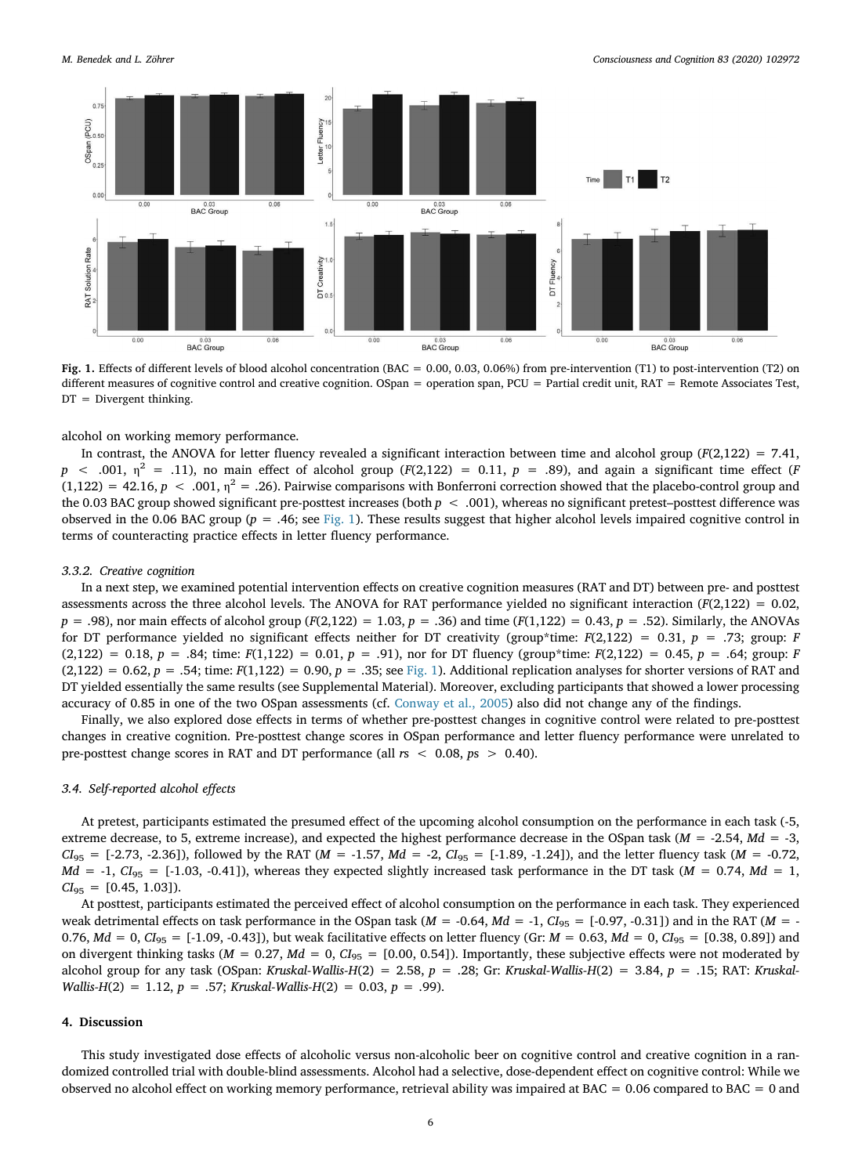

Fig. 1. Effects of different levels of blood alcohol concentration (BAC = 0.00, 0.03, 0.06%) from pre-intervention (T1) to post-intervention (T2) on different measures of cognitive control and creative cognition. OSpan = operation span, PCU = Partial credit unit, RAT = Remote Associates Test,  $DT = Divergent thinking.$ 

alcohol on working memory performance.

In contrast, the ANOVA for letter fluency revealed a significant interaction between time and alcohol group ( $F(2,122) = 7.41$ ,  $p \sim .001$ ,  $\eta^2 = .11$ ), no main effect of alcohol group (F(2,122) = 0.11, p = .89), and again a significant time effect (F  $(1,122) = 42.16, p < .001, \eta^2 = .26$ ). Pairwise comparisons with Bonferroni correction showed that the placebo-control group and the 0.03 BAC group showed significant pre-posttest increases (both  $p < .001$ ), whereas no significant pretest–posttest difference was observed in the 0.06 BAC group ( $p = .46$ ; see Fig. 1). These results suggest that higher alcohol levels impaired cognitive control in terms of counteracting practice effects in letter fluency performance.

#### 3.3.2. Creative cognition

In a next step, we examined potential intervention effects on creative cognition measures (RAT and DT) between pre- and posttest assessments across the three alcohol levels. The ANOVA for RAT performance yielded no significant interaction  $(F(2,122) = 0.02$ ,  $p = .98$ ), nor main effects of alcohol group (F(2,122) = 1.03,  $p = .36$ ) and time (F(1,122) = 0.43,  $p = .52$ ). Similarly, the ANOVAs for DT performance yielded no significant effects neither for DT creativity (group\*time:  $F(2,122) = 0.31$ ,  $p = .73$ ; group: F  $(2,122) = 0.18$ ,  $p = .84$ ; time:  $F(1,122) = 0.01$ ,  $p = .91$ ), nor for DT fluency (group\*time:  $F(2,122) = 0.45$ ,  $p = .64$ ; group: F  $(2,122) = 0.62$ ,  $p = .54$ ; time:  $F(1,122) = 0.90$ ,  $p = .35$ ; see Fig. 1). Additional replication analyses for shorter versions of RAT and DT yielded essentially the same results (see Supplemental Material). Moreover, excluding participants that showed a lower processing accuracy of 0.85 in one of the two OSpan assessments (cf. Conway et al., 2005) also did not change any of the findings.

Finally, we also explored dose effects in terms of whether pre-posttest changes in cognitive control were related to pre-posttest changes in creative cognition. Pre-posttest change scores in OSpan performance and letter fluency performance were unrelated to pre-posttest change scores in RAT and DT performance (all  $rs < 0.08$ ,  $ps > 0.40$ ).

## 3.4. Self-reported alcohol effects

At pretest, participants estimated the presumed effect of the upcoming alcohol consumption on the performance in each task (-5, extreme decrease, to 5, extreme increase), and expected the highest performance decrease in the OSpan task ( $M = -2.54$ ,  $Md = -3$ ,  $Cl_{95} = [-2.73, -2.36]$ , followed by the RAT ( $M = -1.57$ ,  $Md = -2$ ,  $Cl_{95} = [-1.89, -1.24]$ ), and the letter fluency task ( $M = -0.72$ ,  $Md = -1$ ,  $CI_{95} = [-1.03, -0.41]$ , whereas they expected slightly increased task performance in the DT task ( $M = 0.74$ ,  $Md = 1$ ,  $CI_{95} = [0.45, 1.03]$ .

At posttest, participants estimated the perceived effect of alcohol consumption on the performance in each task. They experienced weak detrimental effects on task performance in the OSpan task ( $M = -0.64$ ,  $Md = -1$ ,  $Cl_{95} = [-0.97, -0.31]$ ) and in the RAT ( $M = -1$ 0.76,  $Md = 0$ ,  $Cl_{95} = [-1.09, -0.43]$ , but weak facilitative effects on letter fluency (Gr:  $M = 0.63$ ,  $Md = 0$ ,  $Cl_{95} = [0.38, 0.89]$ ) and on divergent thinking tasks ( $M = 0.27$ ,  $Md = 0$ ,  $Cl_{95} = [0.00, 0.54]$ ). Importantly, these subjective effects were not moderated by alcohol group for any task (OSpan: Kruskal-Wallis-H(2) = 2.58, p = .28; Gr: Kruskal-Wallis-H(2) = 3.84, p = .15; RAT: Kruskal-Wallis-H(2) = 1.12,  $p = .57$ ; Kruskal-Wallis-H(2) = 0.03,  $p = .99$ ).

## 4. Discussion

This study investigated dose effects of alcoholic versus non-alcoholic beer on cognitive control and creative cognition in a randomized controlled trial with double-blind assessments. Alcohol had a selective, dose-dependent effect on cognitive control: While we observed no alcohol effect on working memory performance, retrieval ability was impaired at BAC = 0.06 compared to BAC = 0 and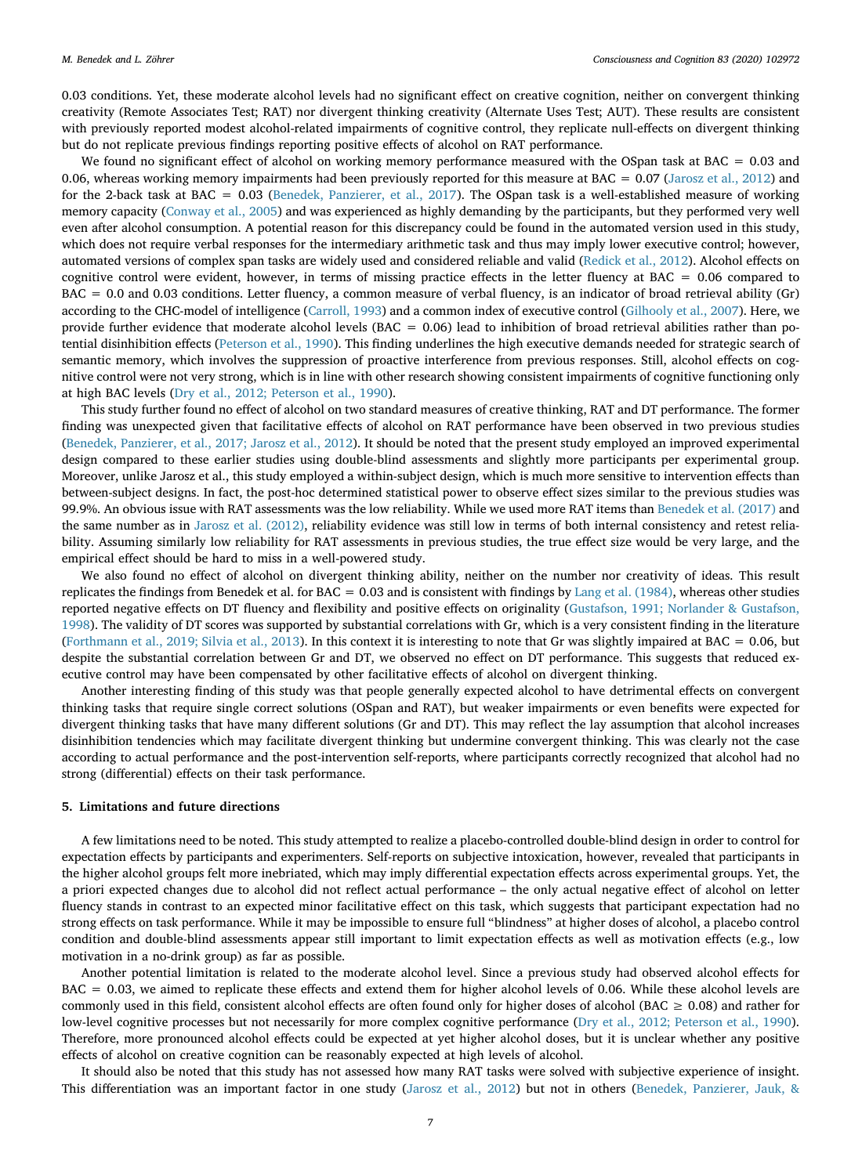0.03 conditions. Yet, these moderate alcohol levels had no significant effect on creative cognition, neither on convergent thinking creativity (Remote Associates Test; RAT) nor divergent thinking creativity (Alternate Uses Test; AUT). These results are consistent with previously reported modest alcohol-related impairments of cognitive control, they replicate null-effects on divergent thinking but do not replicate previous findings reporting positive effects of alcohol on RAT performance.

We found no significant effect of alcohol on working memory performance measured with the OSpan task at BAC = 0.03 and 0.06, whereas working memory impairments had been previously reported for this measure at BAC = 0.07 (Jarosz et al., 2012) and for the 2-back task at BAC = 0.03 (Benedek, Panzierer, et al., 2017). The OSpan task is a well-established measure of working memory capacity (Conway et al., 2005) and was experienced as highly demanding by the participants, but they performed very well even after alcohol consumption. A potential reason for this discrepancy could be found in the automated version used in this study, which does not require verbal responses for the intermediary arithmetic task and thus may imply lower executive control; however, automated versions of complex span tasks are widely used and considered reliable and valid (Redick et al., 2012). Alcohol effects on cognitive control were evident, however, in terms of missing practice effects in the letter fluency at BAC = 0.06 compared to BAC = 0.0 and 0.03 conditions. Letter fluency, a common measure of verbal fluency, is an indicator of broad retrieval ability (Gr) according to the CHC-model of intelligence (Carroll, 1993) and a common index of executive control (Gilhooly et al., 2007). Here, we provide further evidence that moderate alcohol levels (BAC =  $0.06$ ) lead to inhibition of broad retrieval abilities rather than potential disinhibition effects (Peterson et al., 1990). This finding underlines the high executive demands needed for strategic search of semantic memory, which involves the suppression of proactive interference from previous responses. Still, alcohol effects on cognitive control were not very strong, which is in line with other research showing consistent impairments of cognitive functioning only at high BAC levels (Dry et al., 2012; Peterson et al., 1990).

This study further found no effect of alcohol on two standard measures of creative thinking, RAT and DT performance. The former finding was unexpected given that facilitative effects of alcohol on RAT performance have been observed in two previous studies (Benedek, Panzierer, et al., 2017; Jarosz et al., 2012). It should be noted that the present study employed an improved experimental design compared to these earlier studies using double-blind assessments and slightly more participants per experimental group. Moreover, unlike Jarosz et al., this study employed a within-subject design, which is much more sensitive to intervention effects than between-subject designs. In fact, the post-hoc determined statistical power to observe effect sizes similar to the previous studies was 99.9%. An obvious issue with RAT assessments was the low reliability. While we used more RAT items than Benedek et al. (2017) and the same number as in Jarosz et al. (2012), reliability evidence was still low in terms of both internal consistency and retest reliability. Assuming similarly low reliability for RAT assessments in previous studies, the true effect size would be very large, and the empirical effect should be hard to miss in a well-powered study.

We also found no effect of alcohol on divergent thinking ability, neither on the number nor creativity of ideas. This result replicates the findings from Benedek et al. for BAC = 0.03 and is consistent with findings by Lang et al. (1984), whereas other studies reported negative effects on DT fluency and flexibility and positive effects on originality (Gustafson, 1991; Norlander & Gustafson, 1998). The validity of DT scores was supported by substantial correlations with Gr, which is a very consistent finding in the literature (Forthmann et al., 2019; Silvia et al., 2013). In this context it is interesting to note that Gr was slightly impaired at BAC = 0.06, but despite the substantial correlation between Gr and DT, we observed no effect on DT performance. This suggests that reduced executive control may have been compensated by other facilitative effects of alcohol on divergent thinking.

Another interesting finding of this study was that people generally expected alcohol to have detrimental effects on convergent thinking tasks that require single correct solutions (OSpan and RAT), but weaker impairments or even benefits were expected for divergent thinking tasks that have many different solutions (Gr and DT). This may reflect the lay assumption that alcohol increases disinhibition tendencies which may facilitate divergent thinking but undermine convergent thinking. This was clearly not the case according to actual performance and the post-intervention self-reports, where participants correctly recognized that alcohol had no strong (differential) effects on their task performance.

## 5. Limitations and future directions

A few limitations need to be noted. This study attempted to realize a placebo-controlled double-blind design in order to control for expectation effects by participants and experimenters. Self-reports on subjective intoxication, however, revealed that participants in the higher alcohol groups felt more inebriated, which may imply differential expectation effects across experimental groups. Yet, the a priori expected changes due to alcohol did not reflect actual performance – the only actual negative effect of alcohol on letter fluency stands in contrast to an expected minor facilitative effect on this task, which suggests that participant expectation had no strong effects on task performance. While it may be impossible to ensure full "blindness" at higher doses of alcohol, a placebo control condition and double-blind assessments appear still important to limit expectation effects as well as motivation effects (e.g., low motivation in a no-drink group) as far as possible.

Another potential limitation is related to the moderate alcohol level. Since a previous study had observed alcohol effects for BAC = 0.03, we aimed to replicate these effects and extend them for higher alcohol levels of 0.06. While these alcohol levels are commonly used in this field, consistent alcohol effects are often found only for higher doses of alcohol (BAC  $\geq$  0.08) and rather for low-level cognitive processes but not necessarily for more complex cognitive performance (Dry et al., 2012; Peterson et al., 1990). Therefore, more pronounced alcohol effects could be expected at yet higher alcohol doses, but it is unclear whether any positive effects of alcohol on creative cognition can be reasonably expected at high levels of alcohol.

It should also be noted that this study has not assessed how many RAT tasks were solved with subjective experience of insight. This differentiation was an important factor in one study (Jarosz et al., 2012) but not in others (Benedek, Panzierer, Jauk, &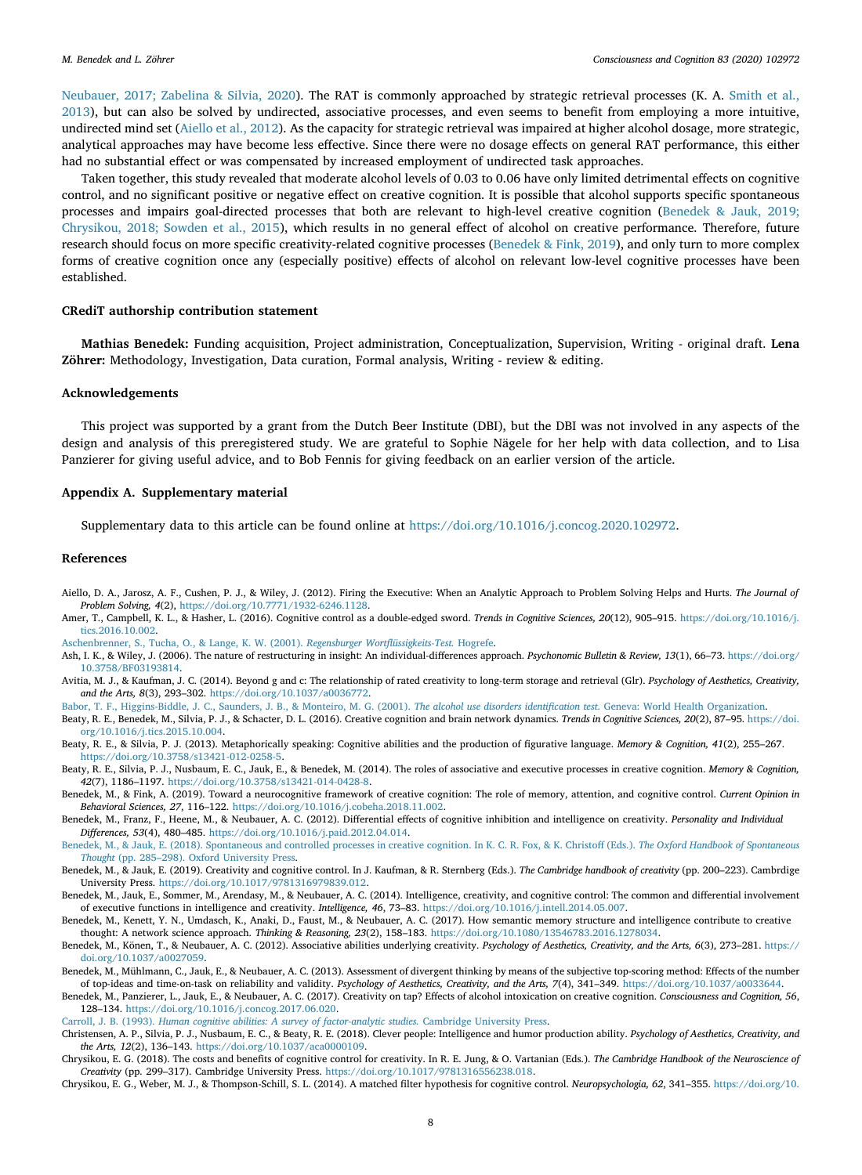Neubauer, 2017; Zabelina & Silvia, 2020). The RAT is commonly approached by strategic retrieval processes (K. A. Smith et al., 2013), but can also be solved by undirected, associative processes, and even seems to benefit from employing a more intuitive, undirected mind set (Aiello et al., 2012). As the capacity for strategic retrieval was impaired at higher alcohol dosage, more strategic, analytical approaches may have become less effective. Since there were no dosage effects on general RAT performance, this either had no substantial effect or was compensated by increased employment of undirected task approaches.

Taken together, this study revealed that moderate alcohol levels of 0.03 to 0.06 have only limited detrimental effects on cognitive control, and no significant positive or negative effect on creative cognition. It is possible that alcohol supports specific spontaneous processes and impairs goal-directed processes that both are relevant to high-level creative cognition (Benedek & Jauk, 2019; Chrysikou, 2018; Sowden et al., 2015), which results in no general effect of alcohol on creative performance. Therefore, future research should focus on more specific creativity-related cognitive processes (Benedek & Fink, 2019), and only turn to more complex forms of creative cognition once any (especially positive) effects of alcohol on relevant low-level cognitive processes have been established.

#### CRediT authorship contribution statement

Mathias Benedek: Funding acquisition, Project administration, Conceptualization, Supervision, Writing - original draft. Lena Zöhrer: Methodology, Investigation, Data curation, Formal analysis, Writing - review & editing.

## Acknowledgements

This project was supported by a grant from the Dutch Beer Institute (DBI), but the DBI was not involved in any aspects of the design and analysis of this preregistered study. We are grateful to Sophie Nägele for her help with data collection, and to Lisa Panzierer for giving useful advice, and to Bob Fennis for giving feedback on an earlier version of the article.

#### Appendix A. Supplementary material

Supplementary data to this article can be found online at https://doi.org/10.1016/j.concog.2020.102972.

#### References

- Aiello, D. A., Jarosz, A. F., Cushen, P. J., & Wiley, J. (2012). Firing the Executive: When an Analytic Approach to Problem Solving Helps and Hurts. The Journal of Problem Solving, 4(2), https://doi.org/10.7771/1932-6246.1128.
- Amer, T., Campbell, K. L., & Hasher, L. (2016). Cognitive control as a double-edged sword. Trends in Cognitive Sciences, 20(12), 905-915. https://doi.org/10.1016/j. tics.2016.10.002.

Aschenbrenner, S., Tucha, O., & Lange, K. W. (2001). Regensburger Wortflüssigkeits-Test. Hogrefe.

- Ash, I. K., & Wiley, J. (2006). The nature of restructuring in insight: An individual-differences approach. Psychonomic Bulletin & Review, 13(1), 66–73. https://doi.org/ 10.3758/BF03193814.
- Avitia, M. J., & Kaufman, J. C. (2014). Beyond g and c: The relationship of rated creativity to long-term storage and retrieval (Glr). Psychology of Aesthetics, Creativity, and the Arts, 8(3), 293–302. https://doi.org/10.1037/a0036772.

Babor, T. F., Higgins-Biddle, J. C., Saunders, J. B., & Monteiro, M. G. (2001). The alcohol use disorders identification test. Geneva: World Health Organization.

Beaty, R. E., Benedek, M., Silvia, P. J., & Schacter, D. L. (2016). Creative cognition and brain network dynamics. Trends in Cognitive Sciences, 20(2), 87-95. https://doi. org/10.1016/j.tics.2015.10.004.

- Beaty, R. E., & Silvia, P. J. (2013). Metaphorically speaking: Cognitive abilities and the production of figurative language. Memory & Cognition, 41(2), 255-267. https://doi.org/10.3758/s13421-012-0258-5.
- Beaty, R. E., Silvia, P. J., Nusbaum, E. C., Jauk, E., & Benedek, M. (2014). The roles of associative and executive processes in creative cognition. Memory & Cognition, 42(7), 1186–1197. https://doi.org/10.3758/s13421-014-0428-8.
- Benedek, M., & Fink, A. (2019). Toward a neurocognitive framework of creative cognition: The role of memory, attention, and cognitive control. Current Opinion in Behavioral Sciences, 27, 116–122. https://doi.org/10.1016/j.cobeha.2018.11.002.
- Benedek, M., Franz, F., Heene, M., & Neubauer, A. C. (2012). Differential effects of cognitive inhibition and intelligence on creativity. Personality and Individual Differences, 53(4), 480–485. https://doi.org/10.1016/j.paid.2012.04.014.
- Benedek, M., & Jauk, E. (2018). Spontaneous and controlled processes in creative cognition. In K. C. R. Fox, & K. Christoff (Eds.). The Oxford Handbook of Spontaneous Thought (pp. 285–298). Oxford University Press.
- Benedek, M., & Jauk, E. (2019). Creativity and cognitive control. In J. Kaufman, & R. Sternberg (Eds.). The Cambridge handbook of creativity (pp. 200-223). Cambrdige University Press. https://doi.org/10.1017/9781316979839.012.
- Benedek, M., Jauk, E., Sommer, M., Arendasy, M., & Neubauer, A. C. (2014). Intelligence, creativity, and cognitive control: The common and differential involvement of executive functions in intelligence and creativity. Intelligence, 46, 73–83. https://doi.org/10.1016/j.intell.2014.05.007.
- Benedek, M., Kenett, Y. N., Umdasch, K., Anaki, D., Faust, M., & Neubauer, A. C. (2017). How semantic memory structure and intelligence contribute to creative thought: A network science approach. Thinking & Reasoning, 23(2), 158–183. https://doi.org/10.1080/13546783.2016.1278034.
- Benedek, M., Könen, T., & Neubauer, A. C. (2012). Associative abilities underlying creativity. Psychology of Aesthetics, Creativity, and the Arts, 6(3), 273-281. https:// doi.org/10.1037/a0027059.
- Benedek, M., Mühlmann, C., Jauk, E., & Neubauer, A. C. (2013). Assessment of divergent thinking by means of the subjective top-scoring method: Effects of the number of top-ideas and time-on-task on reliability and validity. Psychology of Aesthetics, Creativity, and the Arts, 7(4), 341–349. https://doi.org/10.1037/a0033644.
- Benedek, M., Panzierer, L., Jauk, E., & Neubauer, A. C. (2017). Creativity on tap? Effects of alcohol intoxication on creative cognition. Consciousness and Cognition, 56, 128–134. https://doi.org/10.1016/j.concog.2017.06.020.
- Carroll, J. B. (1993). Human cognitive abilities: A survey of factor-analytic studies. Cambridge University Press.
- Christensen, A. P., Silvia, P. J., Nusbaum, E. C., & Beaty, R. E. (2018). Clever people: Intelligence and humor production ability. Psychology of Aesthetics, Creativity, and the Arts, 12(2), 136–143. https://doi.org/10.1037/aca0000109.
- Chrysikou, E. G. (2018). The costs and benefits of cognitive control for creativity. In R. E. Jung, & O. Vartanian (Eds.). The Cambridge Handbook of the Neuroscience of Creativity (pp. 299–317). Cambridge University Press. https://doi.org/10.1017/9781316556238.018.
- Chrysikou, E. G., Weber, M. J., & Thompson-Schill, S. L. (2014). A matched filter hypothesis for cognitive control. Neuropsychologia, 62, 341–355. https://doi.org/10.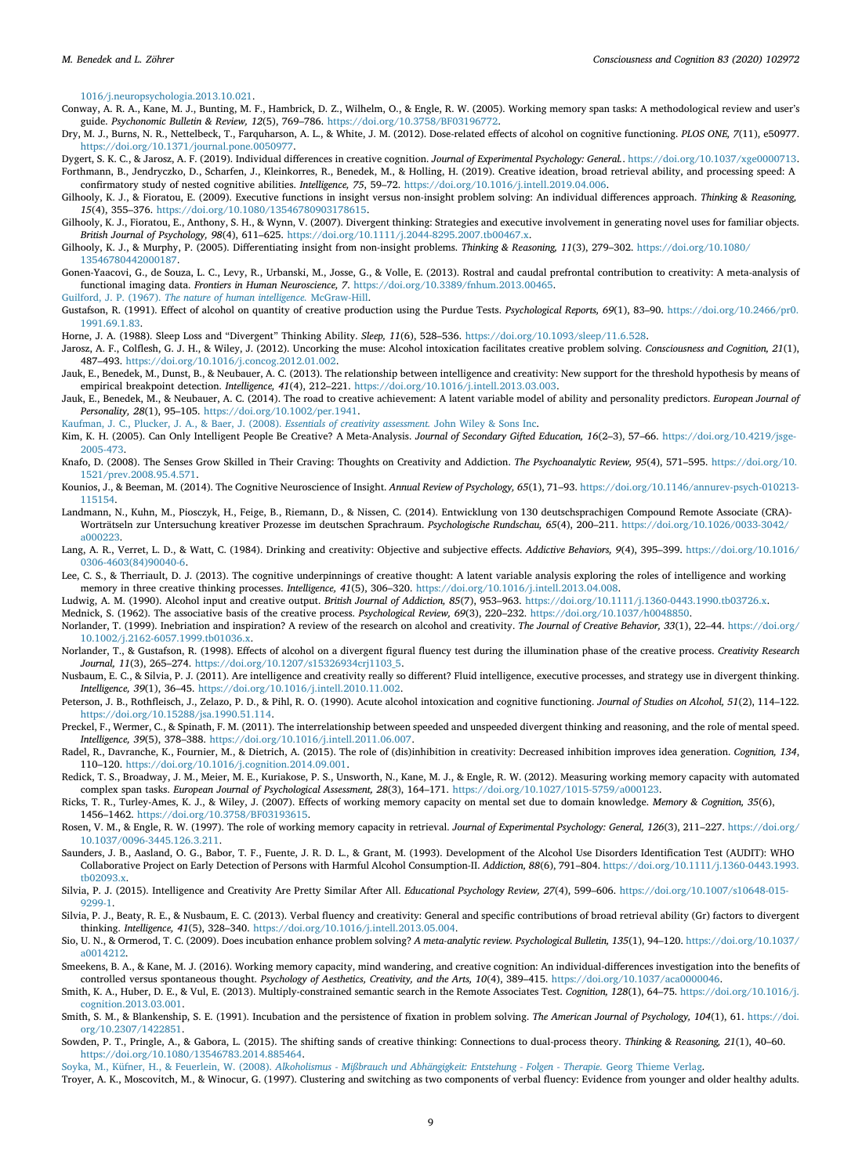1016/j.neuropsychologia.2013.10.021.

- Conway, A. R. A., Kane, M. J., Bunting, M. F., Hambrick, D. Z., Wilhelm, O., & Engle, R. W. (2005). Working memory span tasks: A methodological review and user's guide. Psychonomic Bulletin & Review, 12(5), 769–786. https://doi.org/10.3758/BF03196772.
- Dry, M. J., Burns, N. R., Nettelbeck, T., Farquharson, A. L., & White, J. M. (2012). Dose-related effects of alcohol on cognitive functioning. PLOS ONE, 7(11), e50977. https://doi.org/10.1371/journal.pone.0050977.
- Dygert, S. K. C., & Jarosz, A. F. (2019). Individual differences in creative cognition. Journal of Experimental Psychology: General.. https://doi.org/10.1037/xge0000713. Forthmann, B., Jendryczko, D., Scharfen, J., Kleinkorres, R., Benedek, M., & Holling, H. (2019). Creative ideation, broad retrieval ability, and processing speed: A
- confirmatory study of nested cognitive abilities. Intelligence, 75, 59–72. https://doi.org/10.1016/j.intell.2019.04.006. Gilhooly, K. J., & Fioratou, E. (2009). Executive functions in insight versus non-insight problem solving: An individual differences approach. Thinking & Reasoning,
- 15(4), 355–376. https://doi.org/10.1080/13546780903178615.
- Gilhooly, K. J., Fioratou, E., Anthony, S. H., & Wynn, V. (2007). Divergent thinking: Strategies and executive involvement in generating novel uses for familiar objects. British Journal of Psychology, 98(4), 611–625. https://doi.org/10.1111/j.2044-8295.2007.tb00467.x.
- Gilhooly, K. J., & Murphy, P. (2005). Differentiating insight from non-insight problems. Thinking & Reasoning, 11(3), 279–302. https://doi.org/10.1080/ 13546780442000187.
- Gonen-Yaacovi, G., de Souza, L. C., Levy, R., Urbanski, M., Josse, G., & Volle, E. (2013). Rostral and caudal prefrontal contribution to creativity: A meta-analysis of functional imaging data. Frontiers in Human Neuroscience, 7. https://doi.org/10.3389/fnhum.2013.00465.
- Guilford, J. P. (1967). The nature of human intelligence. McGraw-Hill.
- Gustafson, R. (1991). Effect of alcohol on quantity of creative production using the Purdue Tests. Psychological Reports, 69(1), 83-90. https://doi.org/10.2466/pr0. 1991.69.1.83.
- Horne, J. A. (1988). Sleep Loss and "Divergent" Thinking Ability. Sleep, 11(6), 528–536. https://doi.org/10.1093/sleep/11.6.528.
- Jarosz, A. F., Colflesh, G. J. H., & Wiley, J. (2012). Uncorking the muse: Alcohol intoxication facilitates creative problem solving. Consciousness and Cognition, 21(1), 487–493. https://doi.org/10.1016/j.concog.2012.01.002.
- Jauk, E., Benedek, M., Dunst, B., & Neubauer, A. C. (2013). The relationship between intelligence and creativity: New support for the threshold hypothesis by means of empirical breakpoint detection. Intelligence, 41(4), 212-221. https://doi.org/10.1016/j.intell.2013.03.003.
- Jauk, E., Benedek, M., & Neubauer, A. C. (2014). The road to creative achievement: A latent variable model of ability and personality predictors. European Journal of Personality, 28(1), 95–105. https://doi.org/10.1002/per.1941.
- Kaufman, J. C., Plucker, J. A., & Baer, J. (2008). Essentials of creativity assessment. John Wiley & Sons Inc.
- Kim, K. H. (2005). Can Only Intelligent People Be Creative? A Meta-Analysis. Journal of Secondary Gifted Education, 16(2-3), 57-66. https://doi.org/10.4219/jsge-2005-473.
- Knafo, D. (2008). The Senses Grow Skilled in Their Craving: Thoughts on Creativity and Addiction. The Psychoanalytic Review, 95(4), 571-595. https://doi.org/10. 1521/prev.2008.95.4.571.
- Kounios, J., & Beeman, M. (2014). The Cognitive Neuroscience of Insight. Annual Review of Psychology, 65(1), 71-93. https://doi.org/10.1146/annurev-psych-010213-115154.
- Landmann, N., Kuhn, M., Piosczyk, H., Feige, B., Riemann, D., & Nissen, C. (2014). Entwicklung von 130 deutschsprachigen Compound Remote Associate (CRA)- Worträtseln zur Untersuchung kreativer Prozesse im deutschen Sprachraum. Psychologische Rundschau, 65(4), 200–211. https://doi.org/10.1026/0033-3042/ a000223.
- Lang, A. R., Verret, L. D., & Watt, C. (1984). Drinking and creativity: Objective and subjective effects. Addictive Behaviors, 9(4), 395-399. https://doi.org/10.1016/ 0306-4603(84)90040-6.
- Lee, C. S., & Therriault, D. J. (2013). The cognitive underpinnings of creative thought: A latent variable analysis exploring the roles of intelligence and working memory in three creative thinking processes. Intelligence, 41(5), 306-320. https://doi.org/10.1016/j.intell.2013.04.008.
- Ludwig, A. M. (1990). Alcohol input and creative output. British Journal of Addiction, 85(7), 953-963. https://doi.org/10.1111/j.1360-0443.1990.tb03726.x.
- Mednick, S. (1962). The associative basis of the creative process. Psychological Review, 69(3), 220-232. https://doi.org/10.1037/h0048850.
- Norlander, T. (1999). Inebriation and inspiration? A review of the research on alcohol and creativity. The Journal of Creative Behavior, 33(1), 22-44. https://doi.org/ 10.1002/j.2162-6057.1999.tb01036.x.
- Norlander, T., & Gustafson, R. (1998). Effects of alcohol on a divergent figural fluency test during the illumination phase of the creative process. Creativity Research Journal, 11(3), 265–274. https://doi.org/10.1207/s15326934crj1103\_5.
- Nusbaum, E. C., & Silvia, P. J. (2011). Are intelligence and creativity really so different? Fluid intelligence, executive processes, and strategy use in divergent thinking. Intelligence, 39(1), 36–45. https://doi.org/10.1016/j.intell.2010.11.002.
- Peterson, J. B., Rothfleisch, J., Zelazo, P. D., & Pihl, R. O. (1990). Acute alcohol intoxication and cognitive functioning. Journal of Studies on Alcohol, 51(2), 114–122. https://doi.org/10.15288/jsa.1990.51.114.
- Preckel, F., Wermer, C., & Spinath, F. M. (2011). The interrelationship between speeded and unspeeded divergent thinking and reasoning, and the role of mental speed. Intelligence, 39(5), 378–388. https://doi.org/10.1016/j.intell.2011.06.007.
- Radel, R., Davranche, K., Fournier, M., & Dietrich, A. (2015). The role of (dis)inhibition in creativity: Decreased inhibition improves idea generation. Cognition, 134, 110–120. https://doi.org/10.1016/j.cognition.2014.09.001.
- Redick, T. S., Broadway, J. M., Meier, M. E., Kuriakose, P. S., Unsworth, N., Kane, M. J., & Engle, R. W. (2012). Measuring working memory capacity with automated complex span tasks. European Journal of Psychological Assessment, 28(3), 164–171. https://doi.org/10.1027/1015-5759/a000123.
- Ricks, T. R., Turley-Ames, K. J., & Wiley, J. (2007). Effects of working memory capacity on mental set due to domain knowledge. Memory & Cognition, 35(6), 1456–1462. https://doi.org/10.3758/BF03193615.
- Rosen, V. M., & Engle, R. W. (1997). The role of working memory capacity in retrieval. Journal of Experimental Psychology: General, 126(3), 211-227. https://doi.org/ 10.1037/0096-3445.126.3.211.
- Saunders, J. B., Aasland, O. G., Babor, T. F., Fuente, J. R. D. L., & Grant, M. (1993). Development of the Alcohol Use Disorders Identification Test (AUDIT): WHO Collaborative Project on Early Detection of Persons with Harmful Alcohol Consumption-II. Addiction, 88(6), 791–804. https://doi.org/10.1111/j.1360-0443.1993. tb02093.x.
- Silvia, P. J. (2015). Intelligence and Creativity Are Pretty Similar After All. Educational Psychology Review, 27(4), 599-606. https://doi.org/10.1007/s10648-015-9299-1.
- Silvia, P. J., Beaty, R. E., & Nusbaum, E. C. (2013). Verbal fluency and creativity: General and specific contributions of broad retrieval ability (Gr) factors to divergent thinking. Intelligence, 41(5), 328–340. https://doi.org/10.1016/j.intell.2013.05.004.
- Sio, U. N., & Ormerod, T. C. (2009). Does incubation enhance problem solving? A meta-analytic review. Psychological Bulletin, 135(1), 94–120. https://doi.org/10.1037/ a0014212.
- Smeekens, B. A., & Kane, M. J. (2016). Working memory capacity, mind wandering, and creative cognition: An individual-differences investigation into the benefits of controlled versus spontaneous thought. Psychology of Aesthetics, Creativity, and the Arts, 10(4), 389-415. https://doi.org/10.1037/aca0000046.
- Smith, K. A., Huber, D. E., & Vul, E. (2013). Multiply-constrained semantic search in the Remote Associates Test. Cognition, 128(1), 64–75. https://doi.org/10.1016/j. cognition.2013.03.001.
- Smith, S. M., & Blankenship, S. E. (1991). Incubation and the persistence of fixation in problem solving. The American Journal of Psychology, 104(1), 61. https://doi. org/10.2307/1422851.
- Sowden, P. T., Pringle, A., & Gabora, L. (2015). The shifting sands of creative thinking: Connections to dual-process theory. Thinking & Reasoning, 21(1), 40–60. https://doi.org/10.1080/13546783.2014.885464.

Soyka, M., Küfner, H., & Feuerlein, W. (2008). Alkoholismus - Mißbrauch und Abhängigkeit: Entstehung - Folgen - Therapie. Georg Thieme Verlag.

Troyer, A. K., Moscovitch, M., & Winocur, G. (1997). Clustering and switching as two components of verbal fluency: Evidence from younger and older healthy adults.